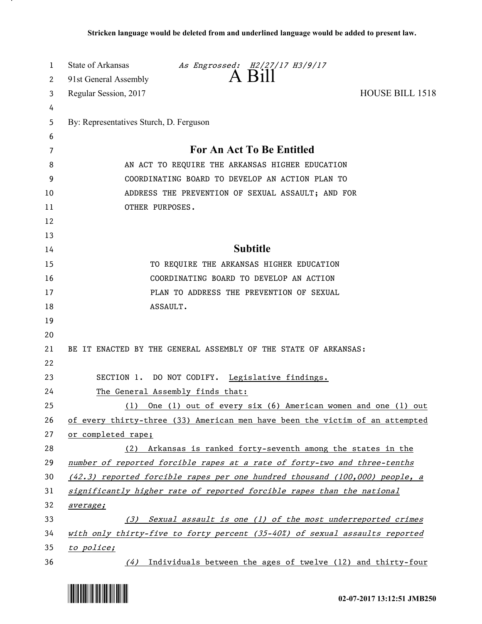| 1  | State of Arkansas<br>As Engrossed: H2/27/17 H3/9/17                           |
|----|-------------------------------------------------------------------------------|
| 2  | A Bill<br>91st General Assembly                                               |
| 3  | <b>HOUSE BILL 1518</b><br>Regular Session, 2017                               |
| 4  |                                                                               |
| 5  | By: Representatives Sturch, D. Ferguson                                       |
| 6  |                                                                               |
| 7  | For An Act To Be Entitled                                                     |
| 8  | AN ACT TO REQUIRE THE ARKANSAS HIGHER EDUCATION                               |
| 9  | COORDINATING BOARD TO DEVELOP AN ACTION PLAN TO                               |
| 10 | ADDRESS THE PREVENTION OF SEXUAL ASSAULT; AND FOR                             |
| 11 | OTHER PURPOSES.                                                               |
| 12 |                                                                               |
| 13 |                                                                               |
| 14 | <b>Subtitle</b>                                                               |
| 15 | TO REQUIRE THE ARKANSAS HIGHER EDUCATION                                      |
| 16 | COORDINATING BOARD TO DEVELOP AN ACTION                                       |
| 17 | PLAN TO ADDRESS THE PREVENTION OF SEXUAL                                      |
| 18 | ASSAULT.                                                                      |
| 19 |                                                                               |
| 20 |                                                                               |
| 21 | BE IT ENACTED BY THE GENERAL ASSEMBLY OF THE STATE OF ARKANSAS:               |
| 22 |                                                                               |
| 23 | SECTION 1. DO NOT CODIFY. Legislative findings.                               |
| 24 | The General Assembly finds that:                                              |
| 25 | One (1) out of every six (6) American women and one (1) out<br>(1)            |
| 26 | of every thirty-three (33) American men have been the victim of an attempted  |
| 27 | or completed rape;                                                            |
| 28 | (2) Arkansas is ranked forty-seventh among the states in the                  |
| 29 | number of reported forcible rapes at a rate of forty-two and three-tenths     |
| 30 | $(42.3)$ reported forcible rapes per one hundred thousand (100,000) people, a |
| 31 | significantly higher rate of reported forcible rapes than the national        |
| 32 | average;                                                                      |
| 33 | Sexual assault is one (1) of the most underreported crimes<br>(3)             |
| 34 | with only thirty-five to forty percent (35-40%) of sexual assaults reported   |
| 35 | to police;                                                                    |
| 36 | Individuals between the ages of twelve (12) and thirty-four<br>(4)            |



.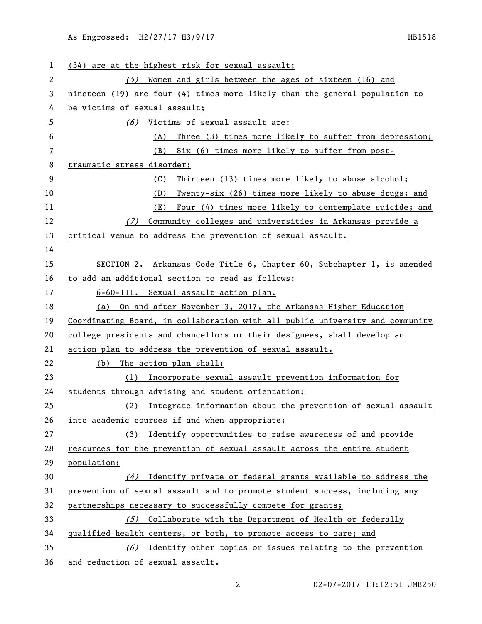| 1  | (34) are at the highest risk for sexual assault;                              |
|----|-------------------------------------------------------------------------------|
| 2  | Women and girls between the ages of sixteen (16) and<br>(5)                   |
| 3  | nineteen (19) are four $(4)$ times more likely than the general population to |
| 4  | be victims of sexual assault;                                                 |
| 5  | (6) Victims of sexual assault are:                                            |
| 6  | Three (3) times more likely to suffer from depression;<br>(A)                 |
| 7  | Six (6) times more likely to suffer from post-<br>(B)                         |
| 8  | traumatic stress disorder;                                                    |
| 9  | Thirteen (13) times more likely to abuse alcohol;<br>(C)                      |
| 10 | Twenty-six (26) times more likely to abuse drugs; and<br>(D)                  |
| 11 | Four (4) times more likely to contemplate suicide; and<br>(E)                 |
| 12 | Community colleges and universities in Arkansas provide a<br>(7)              |
| 13 | critical venue to address the prevention of sexual assault.                   |
| 14 |                                                                               |
| 15 | SECTION 2. Arkansas Code Title 6, Chapter 60, Subchapter 1, is amended        |
| 16 | to add an additional section to read as follows:                              |
| 17 | 6-60-111. Sexual assault action plan.                                         |
| 18 | (a) On and after November 3, 2017, the Arkansas Higher Education              |
| 19 | Coordinating Board, in collaboration with all public university and community |
| 20 | college presidents and chancellors or their designees, shall develop an       |
| 21 | action plan to address the prevention of sexual assault.                      |
| 22 | The action plan shall:<br>(b)                                                 |
| 23 | Incorporate sexual assault prevention information for<br>(1)                  |
| 24 | students through advising and student orientation;                            |
| 25 | (2) Integrate information about the prevention of sexual assault              |
| 26 | into academic courses if and when appropriate;                                |
| 27 | Identify opportunities to raise awareness of and provide<br>(3)               |
| 28 | resources for the prevention of sexual assault across the entire student      |
| 29 | population;                                                                   |
| 30 | (4) Identify private or federal grants available to address the               |
| 31 | prevention of sexual assault and to promote student success, including any    |
| 32 | partnerships necessary to successfully compete for grants;                    |
| 33 | Collaborate with the Department of Health or federally<br>(5)                 |
| 34 | qualified health centers, or both, to promote access to care; and             |
| 35 | Identify other topics or issues relating to the prevention<br>(6)             |
| 36 | and reduction of sexual assault.                                              |